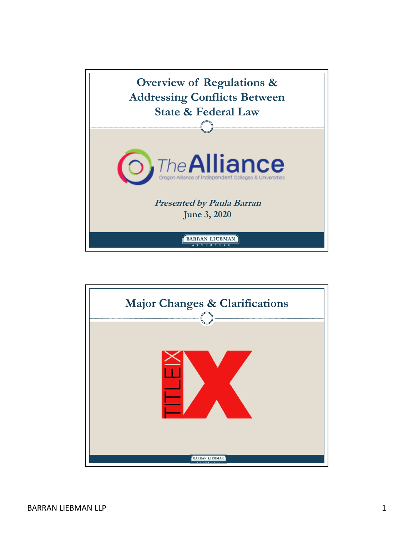

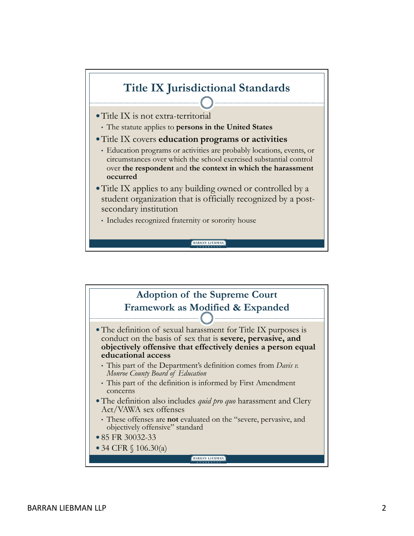

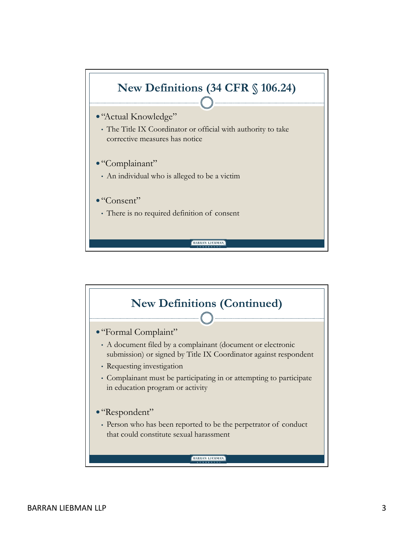

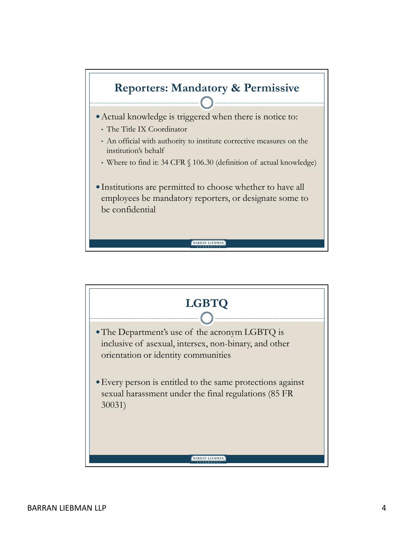

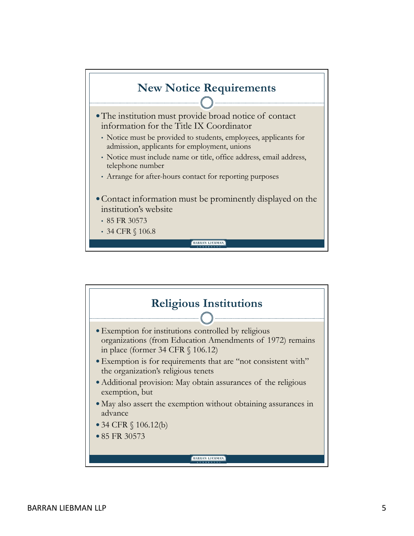

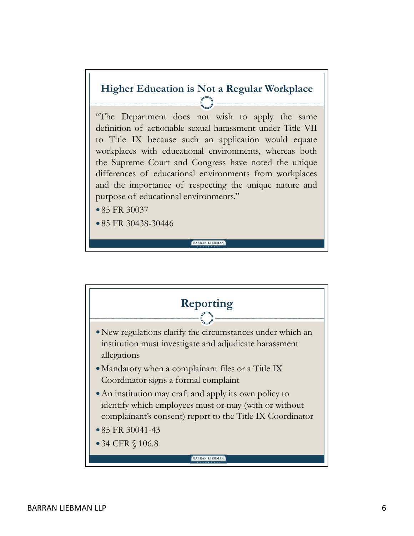

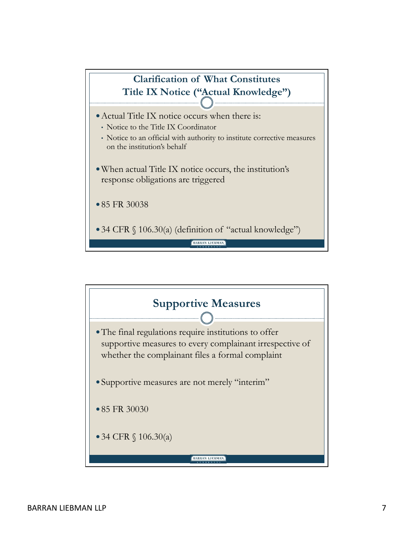

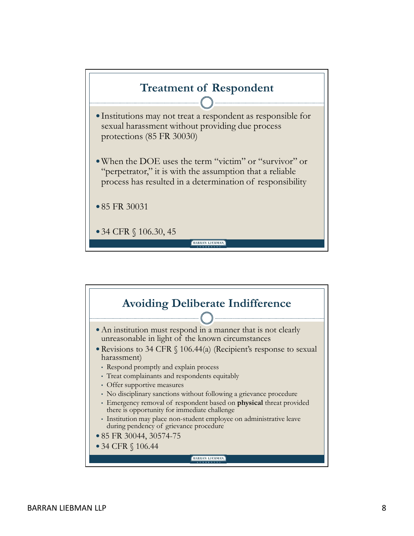

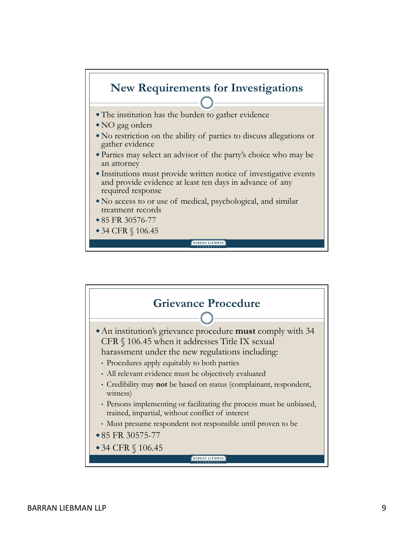

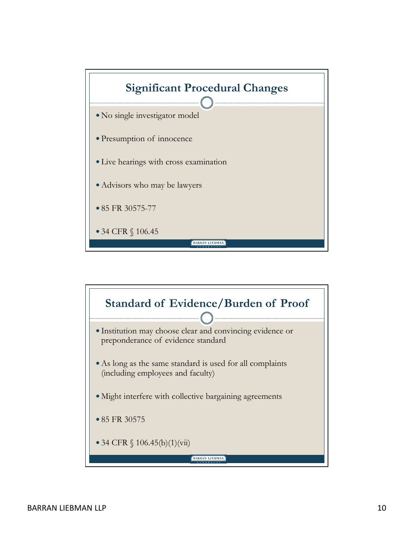

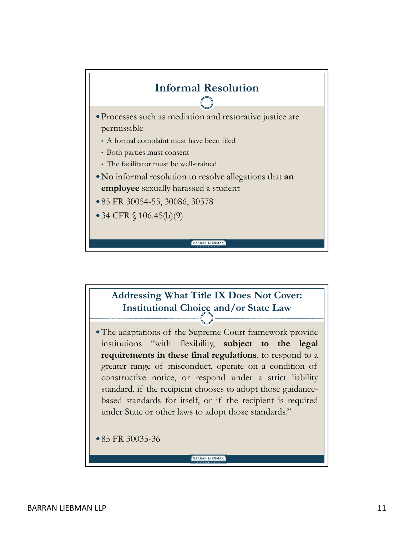

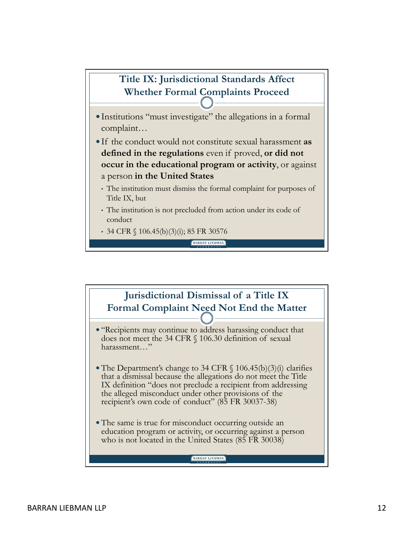

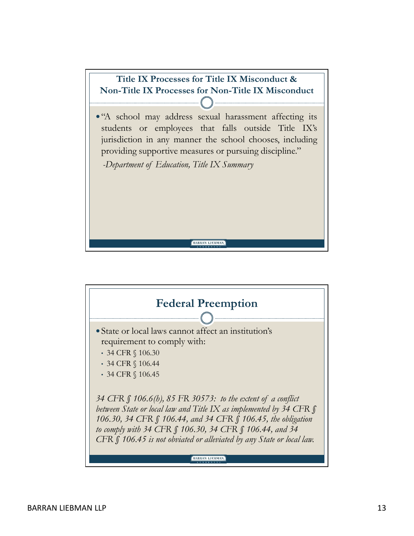

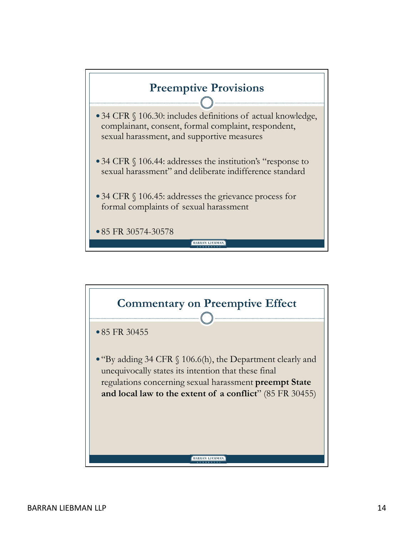

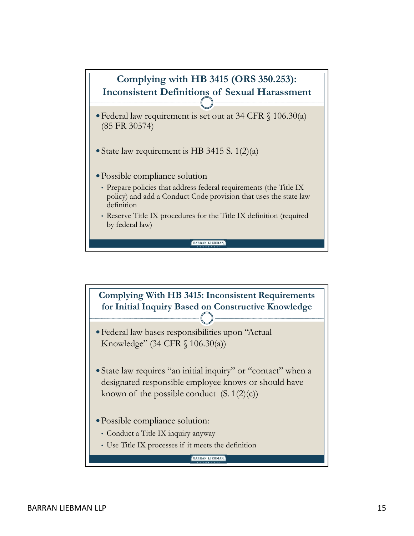

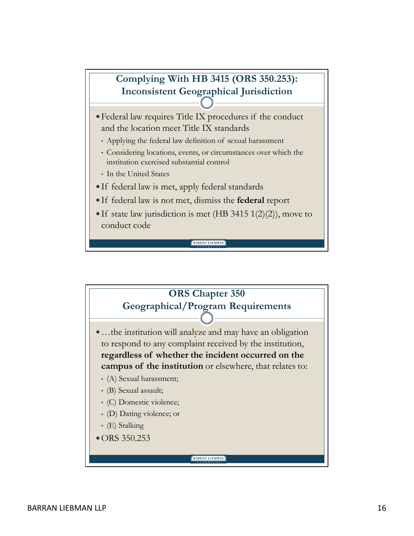## Complying With HB 3415 (ORS 350.253): Inconsistent Geographical Jurisdiction Federal law requires Title IX procedures if the conduct<br>
Federal law requires Title IX procedures if the conduct<br> **C**<br>
Federal law requires Title IX procedures if the conduct<br>
and the location meet Title IX standards<br>
Appl • Complying With HB 3415 (ORS 350.253):<br>• Inconsistent Geographical Jurisdiction<br>Federal law requires Title IX procedures if the conduct<br>and the location meet Title IX standards<br>• Applying the federal law definition of sex Complying With HB 3415 (ORS 350.253):<br>
Inconsistent Geographical Jurisdiction<br>
• Federal law requires Title IX procedures if the conduct<br>
and the location meet Title IX standards<br>
• Applying the federal law definition of s Complying With HB 3415 (ORS 350.253):<br>
Inconsistent Geographical Jurisdiction<br>
• Federal law requires Title IX procedures if the conduct<br>
and the location meet Title IX standards<br>
• Applying the federal law definition of s Complying With HB 3415 (ORS 350.253):<br>
Inconsistent Geographical Jurisdiction<br>
• Federal law requires Title IX procedures if the conduct<br>
and the location meet Title IX standards<br>
• Applying the federal law definition of s

- and the location meet Title IX standards
	-
	- institution exercised substantial control
	- In the United States
- 
- 
- conduct code

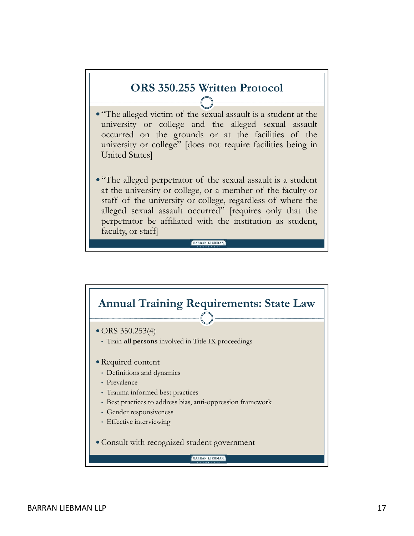

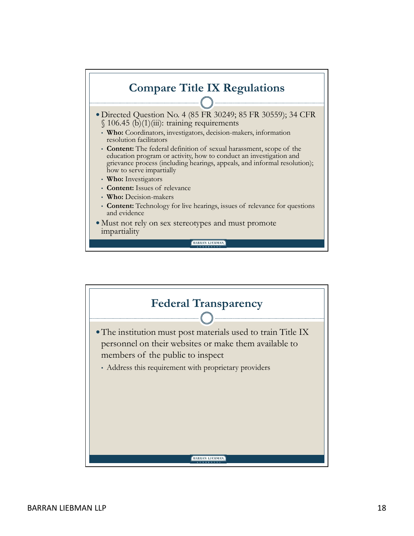

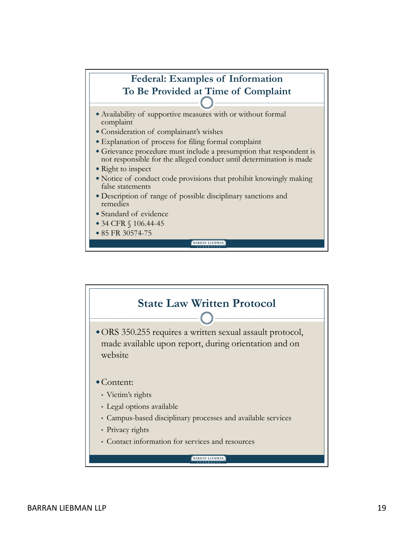

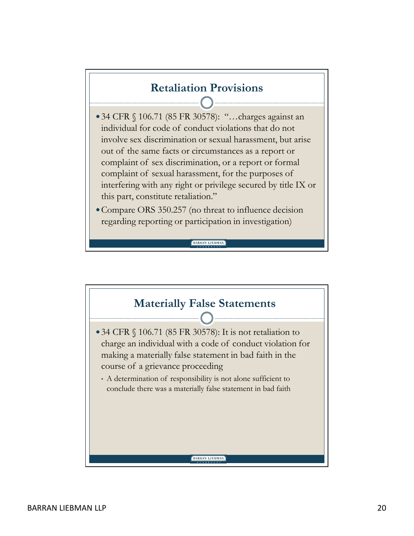## Retaliation Provisions

- Retaliation Provisions<br>
34 CFR § 106.71 (85 FR 30578): "...charges against an<br>
individual for code of conduct violations that do not<br>
involve sex discrimination or sexual harassment, but arise<br>
out of the same facts or cir **individual for code of conduct violation**<br>**individual for code of conduct violations that do not**<br>involve sex discrimination or sexual harassment, but arise<br>out of the same facts or circumstances as a report or<br>complaint involve sex discrimination or sexual harassment, but arise **Retaliation Provisions**<br> **CER** § 106.71 (85 FR 30578): "...charges against an individual for code of conduct violations that do not involve sex discrimination or sexual harassment, but arise out of the same facts or circu **Retaliation Provisions**<br>34 CFR § 106.71 (85 FR 30578): "...charges against an<br>individual for code of conduct violations that do not<br>involve sex discrimination or sexual harassment, but arise<br>out of the same facts or circu Retaliation Provisions<br>
CHE STACK CONTER CONSIDE 34 CFR S106.71 (85 FR 30578): "...charges against an<br>
individual for code of conduct violations that do not<br>
involve sex discrimination or sexual harassment, but arise<br>
out interfering with any right or privilege secured by title IX or this part, constitute retaliation."
- Compare ORS 350.257 (no threat to influence decision regarding reporting or participation in investigation)

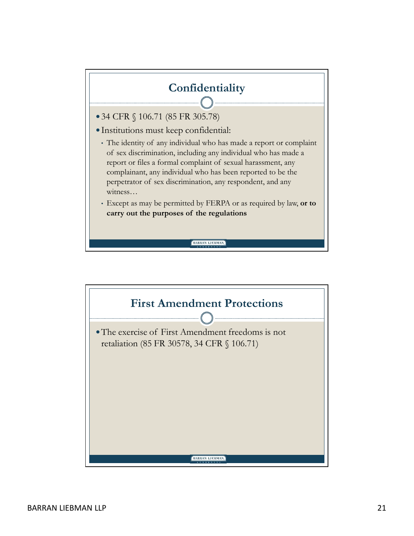## Confidentiality

- 
- Institutions must keep confidential:
- Confidentiality<br>
■34 CFR § 106.71 (85 FR 305.78)<br>
■Institutions must keep confidential:<br>
↑ The identity of any individual who has made a report or complaint<br>
of sex discrimination, including any individual who has made a<br> **Confidentiality**<br> **Confidentiality**<br> **34 CFR** § 106.71 (85 FR 305.78)<br>
Institutions must keep confidential:<br>
• The identity of any individual who has made a report or complaint<br>
of sex discrimination, including any indivi **Confidentiality**<br> **Confidentiality**<br>
4 CFR § 106.71 (85 FR 305.78)<br>
astitutions must keep confidential:<br>
The identity of any individual who has made a report or complaint<br>
of sex discrimination, including any individual w report or files a formal complaint of sexual harassment, any complainant, any individual who has been reported to be the **Confidentiality**<br> **Confidentiality**<br> **Confidentiality**<br> **Confidential:**<br>
The identity of any individual who has made a report or complaint<br>
of sex discrimination, including any individual who has made a<br>
report or files a witness… **Confidentiality**<br>
4 CFR § 106.71 (85 FR 305.78)<br>
nstitutions must keep confidential:<br>
The identity of any individual who has made a report or complaint<br>
of sex discrimination, including any individual who has made a<br>
repo
- Except as may be permitted by FERPA or as required by law, or to

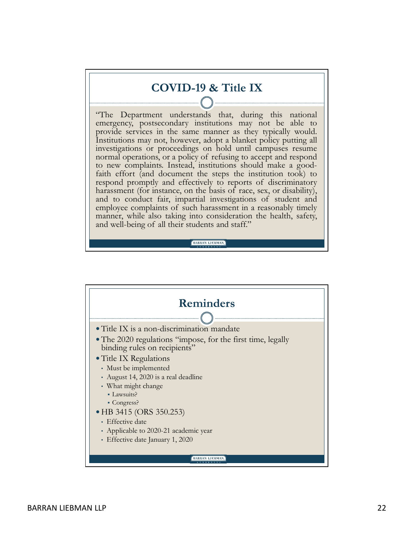## COVID-19 & Title IX

**COVID-19 & Title IX**<br> **COVID-19 & Title IX**<br> **COVID-19 & Title IX**<br> **COVID-19 & Title IX**<br> **COVID** exerces in the same manner as they typically would.<br>
Institutions may not, however, adopt a blanket policy putting all<br>
in **COVID-19 & Title IX**<br>
"The Department understands that, during this national<br>
emergency, postsecondary institutions may not be able to<br>
provide services in the same manner as they typically would.<br>
Institutions may not, h **COVID-19 & Title IX**<br>
"The Department understands that, during this national<br>
emergency, postsecondary institutions may not be able to<br>
Institutions may not, however, adopt a blanket policy putting all<br>
Institutions are p **COVID-19 & Title IX**<br>
"The Department understands that, during this national<br>
emergency, postsecondary institutions may not be able to<br>
Institutions may not, however, adopt a blanket policy putting all<br>
Institutions may n investigations or proceedings on hold until campuses resume **COVID-19 & Title IX**<br> **COVID-19 & Title IX**<br> **Covident interstants** that, during this national<br>
emergency, postsecondary institutions may not be able to<br>
provide services in the same manner as they typically would.<br>
Insti **COVID-19 & Title IX**<br> **COVID-19 & Title IX**<br> **COVID-19 & Title IX**<br> **Complainting** this national<br>
provide services in the same manner as they typically would.<br>
Institutions may not, however, adopt a blanket policy putting faith effort (and document the steps the institution took) to **COVID-19 & Title IX**<br>
"The Department understands that, during this national<br>
emergency, postsecondary institutions may not be able to<br>
provide services in the same manner as they typically would.<br>
Institutions may not, h **COVID-19 & Title IX**<br> **COVID-19 & Title IX**<br> **Configure 10**<br> **Configure 10**<br> **Configure 10**<br> **Configure 10**<br> **Configure 10**<br> **Configure 10**<br> **Configure 10**<br> **Configure 10**<br> **Configure 10**<br> **Configure 10**<br> **Configure 10**<br> and to conduct fair, impartial investigations of student and **COVID-19 & Title IX**<br> **COVID-19 & Title IX**<br> **COVID-19 & Title IX**<br> **Employer** consider institutions may not be able to<br>
provide services in the same manner as they typically would.<br>
Institutions may not, however, adopt a **COVID-19 & Title IX**<br>
"The Department understands that, during this national<br>
emergency, postsecondary institutions may not be able to<br>
Institutions are not the same manner as they typically would.<br>
Institutions or proce **Example 19 COVID-19 & Title IX**<br> **The Department understands that, during this national**<br>
emergency, postsecondary institutions may not be able to<br>provide services in the same manner as they typically would.<br>Institutions

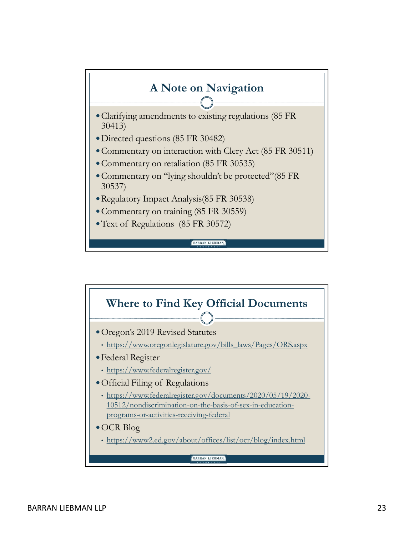